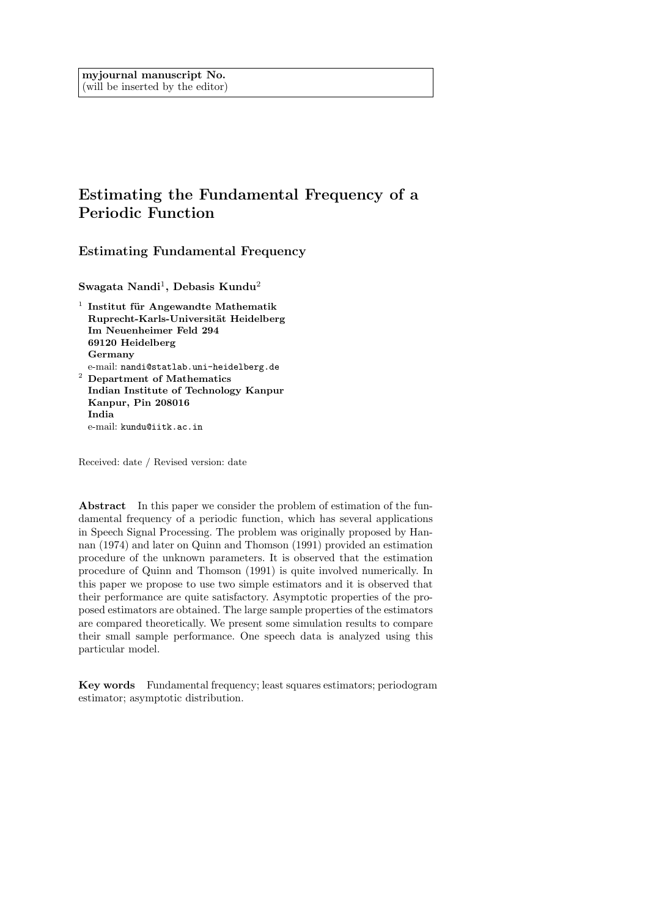# Estimating the Fundamental Frequency of a Periodic Function

Estimating Fundamental Frequency

 ${\rm Swagata\ Nandi^1,\ Debasis\ Kundu^2}$ 

 $1$  Institut für Angewandte Mathematik Ruprecht-Karls-Universität Heidelberg Im Neuenheimer Feld 294 69120 Heidelberg Germany e-mail: nandi@statlab.uni-heidelberg.de <sup>2</sup> Department of Mathematics Indian Institute of Technology Kanpur Kanpur, Pin 208016 India

e-mail: kundu@iitk.ac.in

Received: date / Revised version: date

Abstract In this paper we consider the problem of estimation of the fundamental frequency of a periodic function, which has several applications in Speech Signal Processing. The problem was originally proposed by Hannan (1974) and later on Quinn and Thomson (1991) provided an estimation procedure of the unknown parameters. It is observed that the estimation procedure of Quinn and Thomson (1991) is quite involved numerically. In this paper we propose to use two simple estimators and it is observed that their performance are quite satisfactory. Asymptotic properties of the proposed estimators are obtained. The large sample properties of the estimators are compared theoretically. We present some simulation results to compare their small sample performance. One speech data is analyzed using this particular model.

Key words Fundamental frequency; least squares estimators; periodogram estimator; asymptotic distribution.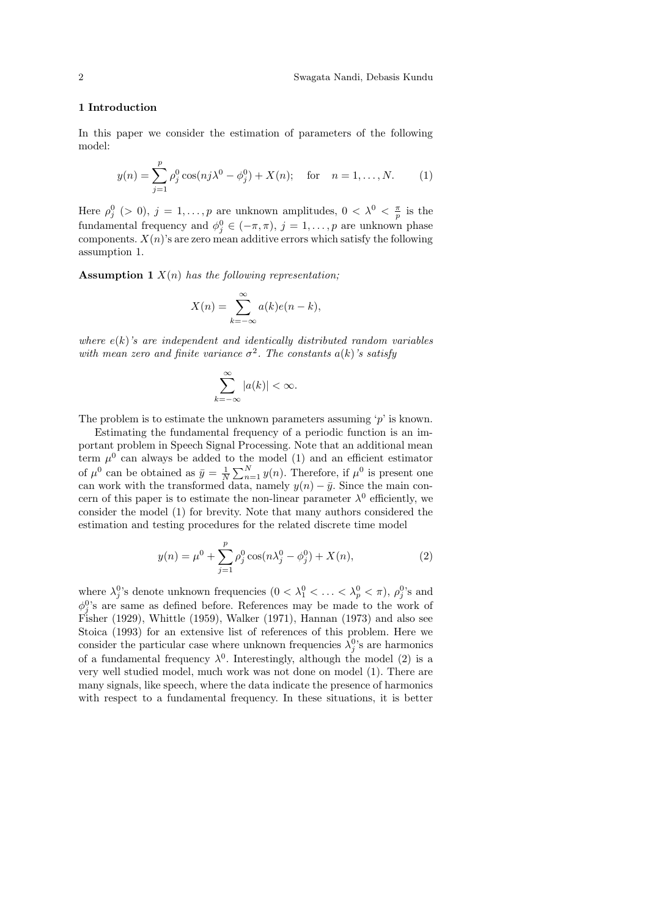## 1 Introduction

In this paper we consider the estimation of parameters of the following model:

$$
y(n) = \sum_{j=1}^{p} \rho_j^0 \cos(nj\lambda^0 - \phi_j^0) + X(n); \text{ for } n = 1, ..., N.
$$
 (1)

Here  $\rho_j^0$  (> 0),  $j = 1, \ldots, p$  are unknown amplitudes,  $0 < \lambda^0 < \frac{\pi}{p}$  is the fundamental frequency and  $\phi_j^0 \in (-\pi, \pi)$ ,  $j = 1, \ldots, p$  are unknown phase components.  $X(n)$ 's are zero mean additive errors which satisfy the following assumption 1.

**Assumption 1**  $X(n)$  has the following representation;

$$
X(n) = \sum_{k=-\infty}^{\infty} a(k)e(n-k),
$$

where  $e(k)$ 's are independent and identically distributed random variables with mean zero and finite variance  $\sigma^2$ . The constants  $a(k)$ 's satisfy

$$
\sum_{k=-\infty}^{\infty} |a(k)| < \infty.
$$

The problem is to estimate the unknown parameters assuming  $p'$  is known.

Estimating the fundamental frequency of a periodic function is an important problem in Speech Signal Processing. Note that an additional mean term  $\mu^0$  can always be added to the model (1) and an efficient estimator of  $\mu^0$  can be obtained as  $\bar{y} = \frac{1}{N} \sum_{n=1}^{N} y(n)$ . Therefore, if  $\mu^0$  is present one can work with the transformed data, namely  $y(n) - \bar{y}$ . Since the main concern of this paper is to estimate the non-linear parameter  $\lambda^0$  efficiently, we consider the model (1) for brevity. Note that many authors considered the estimation and testing procedures for the related discrete time model

$$
y(n) = \mu^{0} + \sum_{j=1}^{p} \rho_{j}^{0} \cos(n\lambda_{j}^{0} - \phi_{j}^{0}) + X(n),
$$
 (2)

where  $\lambda_j^0$ 's denote unknown frequencies  $(0 < \lambda_1^0 < \ldots < \lambda_p^0 < \pi)$ ,  $\rho_j^0$ 's and  $\phi_j^0$ 's are same as defined before. References may be made to the work of Fisher (1929), Whittle (1959), Walker (1971), Hannan (1973) and also see Stoica (1993) for an extensive list of references of this problem. Here we consider the particular case where unknown frequencies  $\lambda_j^0$ 's are harmonics of a fundamental frequency  $\lambda^0$ . Interestingly, although the model (2) is a very well studied model, much work was not done on model (1). There are many signals, like speech, where the data indicate the presence of harmonics with respect to a fundamental frequency. In these situations, it is better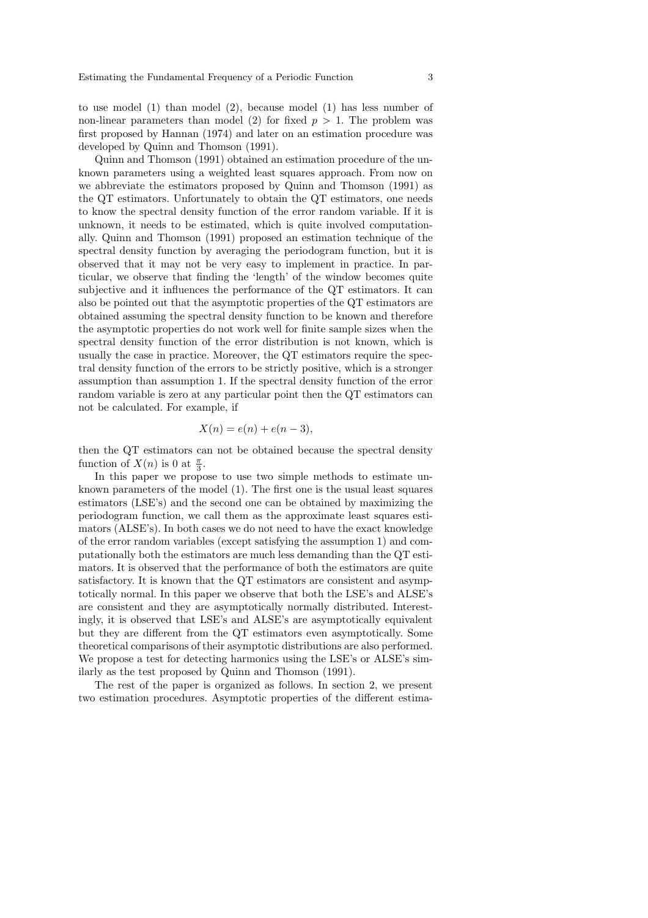to use model (1) than model (2), because model (1) has less number of non-linear parameters than model (2) for fixed  $p > 1$ . The problem was first proposed by Hannan (1974) and later on an estimation procedure was developed by Quinn and Thomson (1991).

Quinn and Thomson (1991) obtained an estimation procedure of the unknown parameters using a weighted least squares approach. From now on we abbreviate the estimators proposed by Quinn and Thomson (1991) as the QT estimators. Unfortunately to obtain the QT estimators, one needs to know the spectral density function of the error random variable. If it is unknown, it needs to be estimated, which is quite involved computationally. Quinn and Thomson (1991) proposed an estimation technique of the spectral density function by averaging the periodogram function, but it is observed that it may not be very easy to implement in practice. In particular, we observe that finding the 'length' of the window becomes quite subjective and it influences the performance of the QT estimators. It can also be pointed out that the asymptotic properties of the QT estimators are obtained assuming the spectral density function to be known and therefore the asymptotic properties do not work well for finite sample sizes when the spectral density function of the error distribution is not known, which is usually the case in practice. Moreover, the QT estimators require the spectral density function of the errors to be strictly positive, which is a stronger assumption than assumption 1. If the spectral density function of the error random variable is zero at any particular point then the QT estimators can not be calculated. For example, if

$$
X(n) = e(n) + e(n-3),
$$

then the QT estimators can not be obtained because the spectral density function of  $X(n)$  is 0 at  $\frac{\pi}{3}$ .

In this paper we propose to use two simple methods to estimate unknown parameters of the model (1). The first one is the usual least squares estimators (LSE's) and the second one can be obtained by maximizing the periodogram function, we call them as the approximate least squares estimators (ALSE's). In both cases we do not need to have the exact knowledge of the error random variables (except satisfying the assumption 1) and computationally both the estimators are much less demanding than the QT estimators. It is observed that the performance of both the estimators are quite satisfactory. It is known that the QT estimators are consistent and asymptotically normal. In this paper we observe that both the LSE's and ALSE's are consistent and they are asymptotically normally distributed. Interestingly, it is observed that LSE's and ALSE's are asymptotically equivalent but they are different from the QT estimators even asymptotically. Some theoretical comparisons of their asymptotic distributions are also performed. We propose a test for detecting harmonics using the LSE's or ALSE's similarly as the test proposed by Quinn and Thomson (1991).

The rest of the paper is organized as follows. In section 2, we present two estimation procedures. Asymptotic properties of the different estima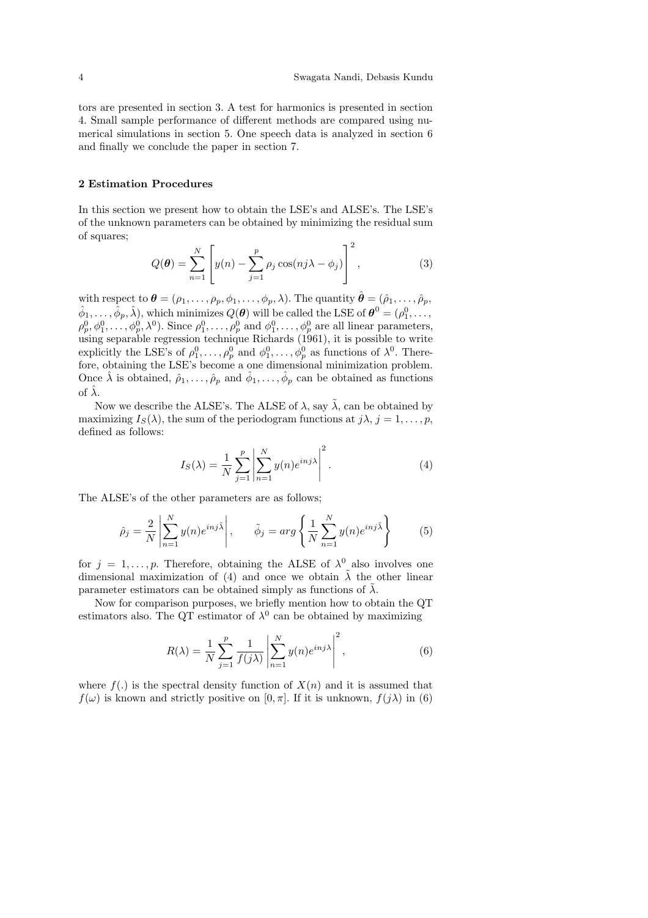tors are presented in section 3. A test for harmonics is presented in section 4. Small sample performance of different methods are compared using numerical simulations in section 5. One speech data is analyzed in section 6 and finally we conclude the paper in section 7.

# 2 Estimation Procedures

In this section we present how to obtain the LSE's and ALSE's. The LSE's of the unknown parameters can be obtained by minimizing the residual sum of squares;

$$
Q(\boldsymbol{\theta}) = \sum_{n=1}^{N} \left[ y(n) - \sum_{j=1}^{p} \rho_j \cos(nj\lambda - \phi_j) \right]^2, \qquad (3)
$$

with respect to  $\boldsymbol{\theta} = (\rho_1, \ldots, \rho_p, \phi_1, \ldots, \phi_p, \lambda)$ . The quantity  $\hat{\boldsymbol{\theta}} = (\hat{\rho}_1, \ldots, \hat{\rho}_p, \lambda)$  $\hat{\phi}_1,\ldots,\hat{\phi}_p,\hat{\lambda}),$  which minimizes  $Q(\bm{\theta})$  will be called the LSE of  $\bm{\theta}^0=(\rho_1^0,\ldots,$  $\rho_p^0, \phi_1^0, \ldots, \phi_p^0, \lambda^0$ . Since  $\rho_1^0, \ldots, \rho_p^0$  and  $\phi_1^0, \ldots, \phi_p^0$  are all linear parameters, using separable regression technique Richards (1961), it is possible to write explicitly the LSE's of  $\rho_1^0, \ldots, \rho_p^0$  and  $\phi_1^0, \ldots, \phi_p^0$  as functions of  $\lambda^0$ . Therefore, obtaining the LSE's become a one dimensional minimization problem. Once  $\hat{\lambda}$  is obtained,  $\hat{\rho}_1,\ldots,\hat{\rho}_p$  and  $\hat{\phi}_1,\ldots,\hat{\phi}_p$  can be obtained as functions of  $\hat{\lambda}$ .

Now we describe the ALSE's. The ALSE of  $\lambda$ , say  $\tilde{\lambda}$ , can be obtained by maximizing  $I_S(\lambda)$ , the sum of the periodogram functions at  $j\lambda$ ,  $j = 1, \ldots, p$ , defined as follows:

$$
I_S(\lambda) = \frac{1}{N} \sum_{j=1}^p \left| \sum_{n=1}^N y(n) e^{i n j \lambda} \right|^2.
$$
 (4)

The ALSE's of the other parameters are as follows;

$$
\hat{\rho}_j = \frac{2}{N} \left| \sum_{n=1}^N y(n) e^{i n j \tilde{\lambda}} \right|, \qquad \tilde{\phi}_j = arg \left\{ \frac{1}{N} \sum_{n=1}^N y(n) e^{i n j \tilde{\lambda}} \right\} \tag{5}
$$

for  $j = 1, \ldots, p$ . Therefore, obtaining the ALSE of  $\lambda^0$  also involves one dimensional maximization of (4) and once we obtain  $\tilde{\lambda}$  the other linear parameter estimators can be obtained simply as functions of  $\lambda$ .

Now for comparison purposes, we briefly mention how to obtain the QT estimators also. The QT estimator of  $\lambda^0$  can be obtained by maximizing

$$
R(\lambda) = \frac{1}{N} \sum_{j=1}^{p} \frac{1}{f(j\lambda)} \left| \sum_{n=1}^{N} y(n) e^{inj\lambda} \right|^2,
$$
\n(6)

where  $f(.)$  is the spectral density function of  $X(n)$  and it is assumed that  $f(\omega)$  is known and strictly positive on  $[0, \pi]$ . If it is unknown,  $f(i\lambda)$  in (6)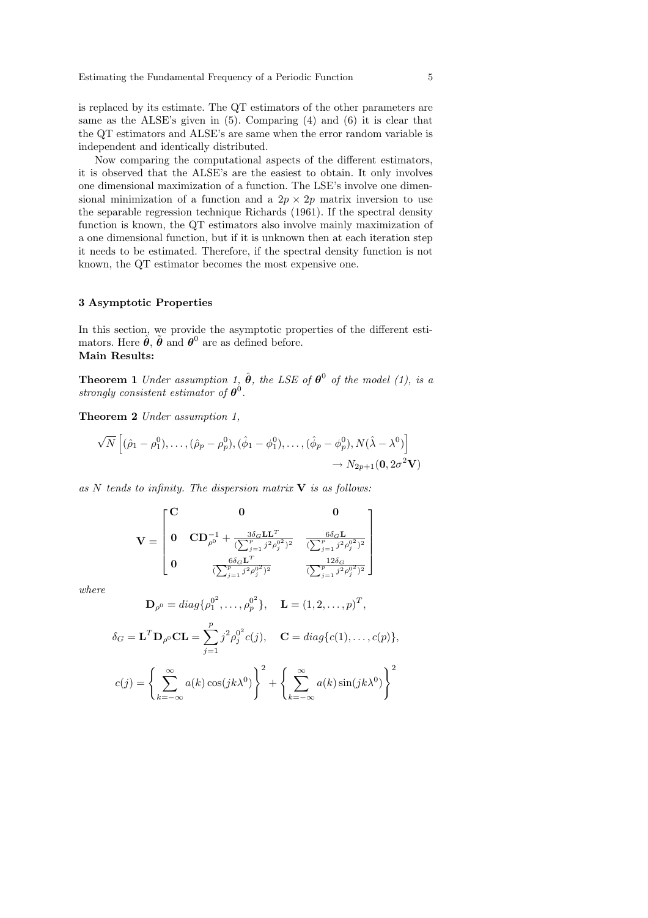is replaced by its estimate. The QT estimators of the other parameters are same as the ALSE's given in (5). Comparing (4) and (6) it is clear that the QT estimators and ALSE's are same when the error random variable is independent and identically distributed.

Now comparing the computational aspects of the different estimators, it is observed that the ALSE's are the easiest to obtain. It only involves one dimensional maximization of a function. The LSE's involve one dimensional minimization of a function and a  $2p \times 2p$  matrix inversion to use the separable regression technique Richards (1961). If the spectral density function is known, the QT estimators also involve mainly maximization of a one dimensional function, but if it is unknown then at each iteration step it needs to be estimated. Therefore, if the spectral density function is not known, the QT estimator becomes the most expensive one.

# 3 Asymptotic Properties

In this section, we provide the asymptotic properties of the different estimators. Here  $\hat{\theta}$ ,  $\tilde{\theta}$  and  $\theta^0$  are as defined before. Main Results:

**Theorem 1** Under assumption 1,  $\hat{\theta}$ , the LSE of  $\theta^0$  of the model (1), is a strongly consistent estimator of  $\boldsymbol{\theta}^0$ .

Theorem 2 Under assumption 1,

$$
\sqrt{N}\left[ (\hat{\rho}_1 - \rho_1^0), \dots, (\hat{\rho}_p - \rho_p^0), (\hat{\phi}_1 - \phi_1^0), \dots, (\hat{\phi}_p - \phi_p^0), N(\hat{\lambda} - \lambda^0) \right]
$$
  

$$
\rightarrow N_{2p+1}(\mathbf{0}, 2\sigma^2 \mathbf{V})
$$

as  $N$  tends to infinity. The dispersion matrix  $V$  is as follows:

$$
\mathbf{V} = \begin{bmatrix} \mathbf{C} & \mathbf{0} & \mathbf{0} \\ \mathbf{0} & \mathbf{C}\mathbf{D}_{\rho^0}^{-1} + \frac{3\delta_G \mathbf{L}\mathbf{L}^T}{(\sum_{j=1}^p j^2 \rho_j^0)^2} & \frac{6\delta_G \mathbf{L}}{(\sum_{j=1}^p j^2 \rho_j^0)^2} \\ \mathbf{0} & \frac{6\delta_G \mathbf{L}^T}{(\sum_{j=1}^p j^2 \rho_j^0)^2} & \frac{12\delta_G}{(\sum_{j=1}^p j^2 \rho_j^0)^2} \end{bmatrix}
$$

where

$$
\mathbf{D}_{\rho^0} = diag\{\rho_1^{0^2}, \dots, \rho_p^{0^2}\}, \quad \mathbf{L} = (1, 2, \dots, p)^T,
$$
  

$$
\delta_G = \mathbf{L}^T \mathbf{D}_{\rho^0} \mathbf{C} \mathbf{L} = \sum_{j=1}^p j^2 \rho_j^{0^2} c(j), \quad \mathbf{C} = diag\{c(1), \dots, c(p)\},
$$
  

$$
c(j) = \left\{\sum_{k=-\infty}^{\infty} a(k) \cos(jk\lambda^0)\right\}^2 + \left\{\sum_{k=-\infty}^{\infty} a(k) \sin(jk\lambda^0)\right\}^2
$$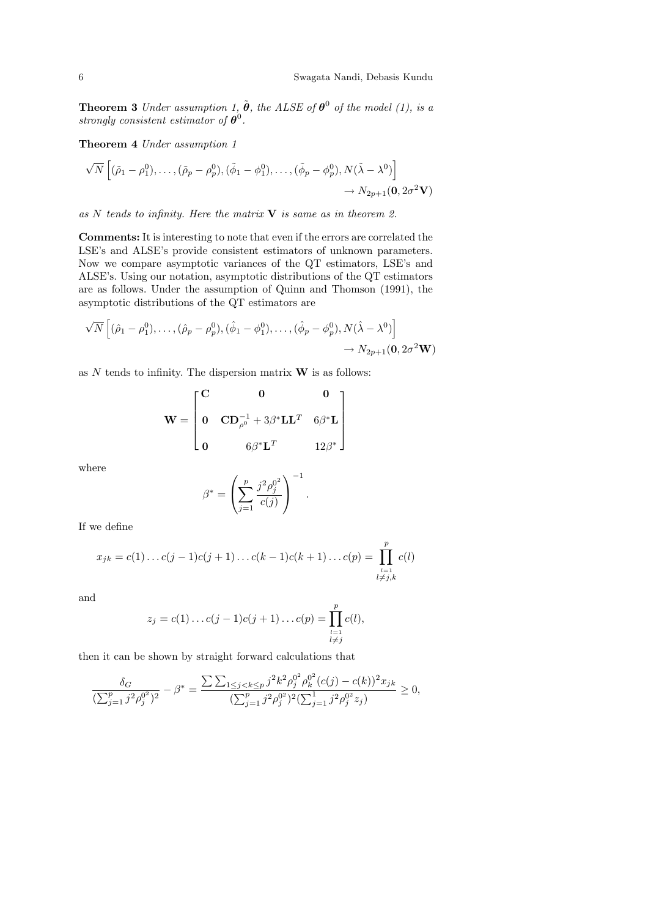**Theorem 3** Under assumption 1,  $\tilde{\boldsymbol{\theta}}$ , the ALSE of  $\boldsymbol{\theta}^0$  of the model (1), is a strongly consistent estimator of  $\boldsymbol{\theta}^0$ .

Theorem 4 Under assumption 1

$$
\sqrt{N}\left[ (\tilde{\rho}_1 - \rho_1^0), \dots, (\tilde{\rho}_p - \rho_p^0), (\tilde{\phi}_1 - \phi_1^0), \dots, (\tilde{\phi}_p - \phi_p^0), N(\tilde{\lambda} - \lambda^0) \right] \longrightarrow N_{2p+1}(\mathbf{0}, 2\sigma^2 \mathbf{V})
$$

as N tends to infinity. Here the matrix  $V$  is same as in theorem 2.

Comments: It is interesting to note that even if the errors are correlated the LSE's and ALSE's provide consistent estimators of unknown parameters. Now we compare asymptotic variances of the QT estimators, LSE's and ALSE's. Using our notation, asymptotic distributions of the QT estimators are as follows. Under the assumption of Quinn and Thomson (1991), the asymptotic distributions of the QT estimators are

$$
\sqrt{N}\left[ (\hat{\rho}_1 - \rho_1^0), \dots, (\hat{\rho}_p - \rho_p^0), (\hat{\phi}_1 - \phi_1^0), \dots, (\hat{\phi}_p - \phi_p^0), N(\hat{\lambda} - \lambda^0) \right] \rightarrow N_{2p+1}(\mathbf{0}, 2\sigma^2 \mathbf{W})
$$

as  $N$  tends to infinity. The dispersion matrix  $\bf{W}$  is as follows:

$$
\mathbf{W} = \begin{bmatrix} \mathbf{C} & \mathbf{0} & \mathbf{0} \\ \mathbf{0} & \mathbf{C}\mathbf{D}_{\rho^0}^{-1} + 3\beta^* \mathbf{L}\mathbf{L}^T & 6\beta^* \mathbf{L} \\ \mathbf{0} & 6\beta^* \mathbf{L}^T & 12\beta^* \end{bmatrix}
$$

where

$$
\beta^* = \left(\sum_{j=1}^p \frac{j^2 \rho_j^{0^2}}{c(j)}\right)^{-1}.
$$

If we define

$$
x_{jk} = c(1) \dots c(j-1)c(j+1) \dots c(k-1)c(k+1) \dots c(p) = \prod_{\substack{l=1 \ l \neq j,k}}^{p} c(l)
$$

and

$$
z_j = c(1) \dots c(j-1)c(j+1) \dots c(p) = \prod_{\substack{l=1 \ l \neq j}}^{p} c(l),
$$

then it can be shown by straight forward calculations that

$$
\frac{\delta_G}{(\sum_{j=1}^p j^2 \rho_j^{0^2})^2} - \beta^* = \frac{\sum \sum_{1 \le j < k \le p} j^2 k^2 \rho_j^{0^2} \rho_k^{0^2} (c(j) - c(k))^2 x_{jk}}{(\sum_{j=1}^p j^2 \rho_j^{0^2})^2 (\sum_{j=1}^1 j^2 \rho_j^{0^2} z_j)} \ge 0,
$$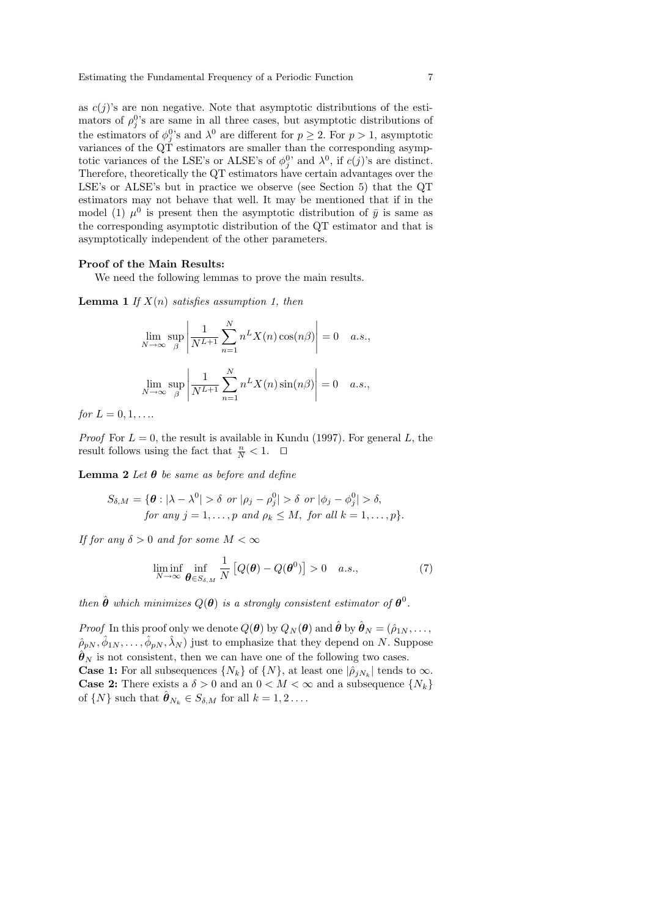as  $c(j)$ 's are non negative. Note that asymptotic distributions of the estimators of  $\rho_j^0$ 's are same in all three cases, but asymptotic distributions of the estimators of  $\phi_j^0$ 's and  $\lambda^0$  are different for  $p \geq 2$ . For  $p > 1$ , asymptotic variances of the QT estimators are smaller than the corresponding asymptotic variances of the LSE's or ALSE's of  $\phi_j^0$ ' and  $\lambda^0$ , if  $c(j)$ 's are distinct. Therefore, theoretically the QT estimators have certain advantages over the LSE's or ALSE's but in practice we observe (see Section 5) that the QT estimators may not behave that well. It may be mentioned that if in the model (1)  $\mu^0$  is present then the asymptotic distribution of  $\bar{y}$  is same as the corresponding asymptotic distribution of the QT estimator and that is asymptotically independent of the other parameters.

#### Proof of the Main Results:

We need the following lemmas to prove the main results.

**Lemma 1** If  $X(n)$  satisfies assumption 1, then

$$
\lim_{N \to \infty} \sup_{\beta} \left| \frac{1}{N^{L+1}} \sum_{n=1}^{N} n^{L} X(n) \cos(n\beta) \right| = 0 \quad a.s.,
$$
  

$$
\lim_{N \to \infty} \sup_{\beta} \left| \frac{1}{N^{L+1}} \sum_{n=1}^{N} n^{L} X(n) \sin(n\beta) \right| = 0 \quad a.s.,
$$

for  $L = 0, 1, \ldots$ 

*Proof* For  $L = 0$ , the result is available in Kundu (1997). For general L, the result follows using the fact that  $\frac{n}{N} < 1$ .  $\Box$ 

**Lemma 2** Let  $\theta$  be same as before and define

$$
S_{\delta,M} = \{ \theta : |\lambda - \lambda^0| > \delta \text{ or } |\rho_j - \rho_j^0| > \delta \text{ or } |\phi_j - \phi_j^0| > \delta, for any j = 1, ..., p and \rho_k \le M, for all k = 1, ..., p \}.
$$

If for any  $\delta > 0$  and for some  $M < \infty$ 

$$
\liminf_{N \to \infty} \inf_{\boldsymbol{\theta} \in S_{\delta,M}} \frac{1}{N} \left[ Q(\boldsymbol{\theta}) - Q(\boldsymbol{\theta}^0) \right] > 0 \quad a.s., \tag{7}
$$

then  $\hat{\boldsymbol{\theta}}$  which minimizes  $Q(\boldsymbol{\theta})$  is a strongly consistent estimator of  $\boldsymbol{\theta}^0$ .

*Proof* In this proof only we denote  $Q(\boldsymbol{\theta})$  by  $Q_N(\boldsymbol{\theta})$  and  $\hat{\boldsymbol{\theta}}$  by  $\hat{\boldsymbol{\theta}}_N = (\hat{\rho}_{1N}, \dots,$  $(\hat{\rho}_{pN}, \hat{\phi}_{1N}, \ldots, \hat{\phi}_{pN}, \hat{\lambda}_N)$  just to emphasize that they depend on N. Suppose  $\hat{\boldsymbol{\theta}}_N$  is not consistent, then we can have one of the following two cases. **Case 1:** For all subsequences  $\{N_k\}$  of  $\{N\}$ , at least one  $|\hat{\rho}_{jN_k}|$  tends to  $\infty$ . **Case 2:** There exists a  $\delta > 0$  and an  $0 < M < \infty$  and a subsequence  $\{N_k\}$ of  $\{N\}$  such that  $\hat{\boldsymbol{\theta}}_{N_k} \in S_{\delta,M}$  for all  $k = 1, 2 \ldots$ .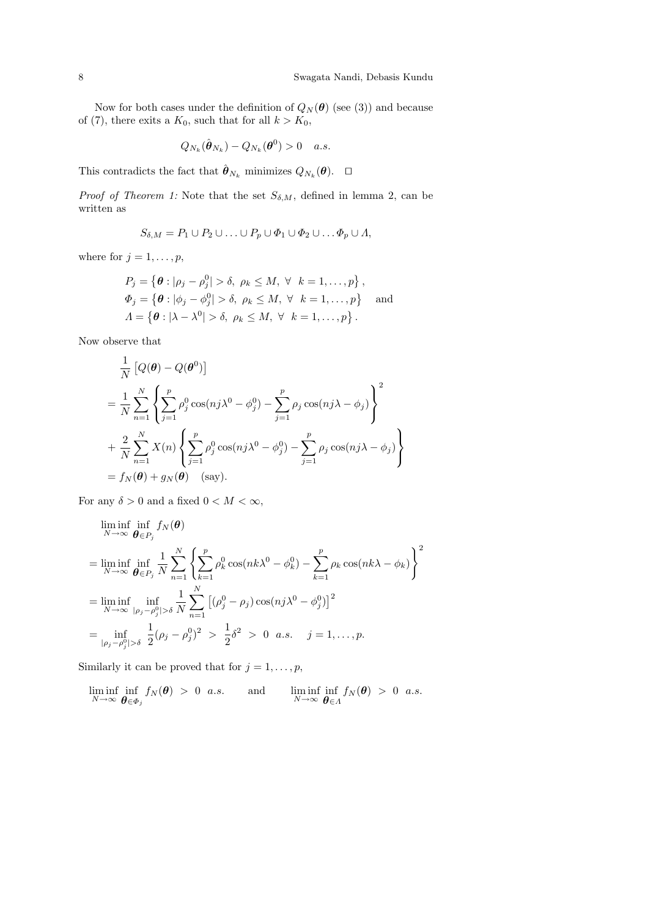Now for both cases under the definition of  $Q_N(\theta)$  (see (3)) and because of (7), there exits a  $K_0$ , such that for all  $k > K_0$ ,

$$
Q_{N_k}(\hat{\boldsymbol{\theta}}_{N_k}) - Q_{N_k}(\boldsymbol{\theta}^0) > 0 \quad a.s.
$$

This contradicts the fact that  $\hat{\boldsymbol{\theta}}_{N_k}$  minimizes  $Q_{N_k}(\boldsymbol{\theta})$ .  $\Box$ 

*Proof of Theorem 1:* Note that the set  $S_{\delta,M}$ , defined in lemma 2, can be written as

$$
S_{\delta,M}=P_1\cup P_2\cup\ldots\cup P_p\cup\Phi_1\cup\Phi_2\cup\ldots\Phi_p\cup\Lambda,
$$

where for  $j = 1, \ldots, p$ ,

$$
P_j = \{ \theta : |\rho_j - \rho_j^0| > \delta, \ \rho_k \le M, \ \forall \ k = 1, ..., p \},
$$
  
\n
$$
\Phi_j = \{ \theta : |\phi_j - \phi_j^0| > \delta, \ \rho_k \le M, \ \forall \ k = 1, ..., p \}
$$
 and  
\n
$$
\Lambda = \{ \theta : |\lambda - \lambda^0| > \delta, \ \rho_k \le M, \ \forall \ k = 1, ..., p \}.
$$

Now observe that

$$
\frac{1}{N} [Q(\theta) - Q(\theta^0)]
$$
\n
$$
= \frac{1}{N} \sum_{n=1}^N \left\{ \sum_{j=1}^p \rho_j^0 \cos(nj\lambda^0 - \phi_j^0) - \sum_{j=1}^p \rho_j \cos(nj\lambda - \phi_j) \right\}^2
$$
\n
$$
+ \frac{2}{N} \sum_{n=1}^N X(n) \left\{ \sum_{j=1}^p \rho_j^0 \cos(nj\lambda^0 - \phi_j^0) - \sum_{j=1}^p \rho_j \cos(nj\lambda - \phi_j) \right\}
$$
\n
$$
= f_N(\theta) + g_N(\theta) \quad \text{(say)}.
$$

For any  $\delta > 0$  and a fixed  $0 < M < \infty$ ,

$$
\liminf_{N \to \infty} \inf_{\boldsymbol{\theta} \in P_j} f_N(\boldsymbol{\theta})
$$
\n
$$
= \liminf_{N \to \infty} \inf_{\boldsymbol{\theta} \in P_j} \frac{1}{N} \sum_{n=1}^N \left\{ \sum_{k=1}^p \rho_k^0 \cos(nk\lambda^0 - \phi_k^0) - \sum_{k=1}^p \rho_k \cos(nk\lambda - \phi_k) \right\}^2
$$
\n
$$
= \liminf_{N \to \infty} \inf_{|\rho_j - \rho_j^0| > \delta} \frac{1}{N} \sum_{n=1}^N \left[ (\rho_j^0 - \rho_j) \cos(nj\lambda^0 - \phi_j^0) \right]^2
$$
\n
$$
= \inf_{|\rho_j - \rho_j^0| > \delta} \frac{1}{2} (\rho_j - \rho_j^0)^2 > \frac{1}{2} \delta^2 > 0 \quad a.s. \quad j = 1, ..., p.
$$

Similarly it can be proved that for  $j = 1, \ldots, p$ ,

$$
\liminf_{N \to \infty} \inf_{\boldsymbol{\theta} \in \Phi_j} f_N(\boldsymbol{\theta}) > 0 \ \ a.s. \qquad \text{and} \qquad \liminf_{N \to \infty} \inf_{\boldsymbol{\theta} \in \Lambda} f_N(\boldsymbol{\theta}) > 0 \ \ a.s.
$$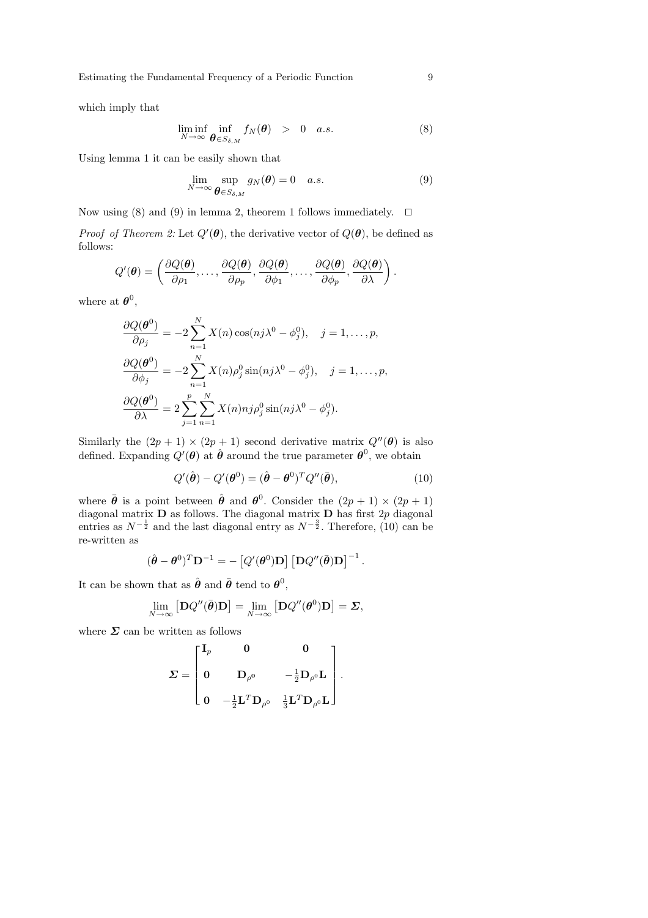Estimating the Fundamental Frequency of a Periodic Function 9

which imply that

$$
\liminf_{N \to \infty} \inf_{\boldsymbol{\theta} \in S_{\delta,M}} f_N(\boldsymbol{\theta}) > 0 \quad a.s.
$$
\n(8)

Using lemma 1 it can be easily shown that

$$
\lim_{N \to \infty} \sup_{\boldsymbol{\theta} \in S_{\delta,M}} g_N(\boldsymbol{\theta}) = 0 \quad a.s.
$$
\n(9)

Now using (8) and (9) in lemma 2, theorem 1 follows immediately.  $\Box$ 

*Proof of Theorem 2:* Let  $Q'(\theta)$ , the derivative vector of  $Q(\theta)$ , be defined as follows:

$$
Q'(\boldsymbol{\theta}) = \left(\frac{\partial Q(\boldsymbol{\theta})}{\partial \rho_1}, \dots, \frac{\partial Q(\boldsymbol{\theta})}{\partial \rho_p}, \frac{\partial Q(\boldsymbol{\theta})}{\partial \phi_1}, \dots, \frac{\partial Q(\boldsymbol{\theta})}{\partial \phi_p}, \frac{\partial Q(\boldsymbol{\theta})}{\partial \lambda}\right).
$$

where at  $\boldsymbol{\theta}^0$ ,

$$
\frac{\partial Q(\boldsymbol{\theta}^{0})}{\partial \rho_{j}} = -2 \sum_{n=1}^{N} X(n) \cos(nj\lambda^{0} - \phi_{j}^{0}), \quad j = 1, ..., p,
$$

$$
\frac{\partial Q(\boldsymbol{\theta}^{0})}{\partial \phi_{j}} = -2 \sum_{n=1}^{N} X(n) \rho_{j}^{0} \sin(nj\lambda^{0} - \phi_{j}^{0}), \quad j = 1, ..., p,
$$

$$
\frac{\partial Q(\boldsymbol{\theta}^{0})}{\partial \lambda} = 2 \sum_{j=1}^{p} \sum_{n=1}^{N} X(n) n j \rho_{j}^{0} \sin(nj\lambda^{0} - \phi_{j}^{0}).
$$

Similarly the  $(2p + 1) \times (2p + 1)$  second derivative matrix  $Q''(\theta)$  is also defined. Expanding  $Q'(\theta)$  at  $\hat{\theta}$  around the true parameter  $\theta^0$ , we obtain

$$
Q'(\hat{\boldsymbol{\theta}}) - Q'(\boldsymbol{\theta}^0) = (\hat{\boldsymbol{\theta}} - \boldsymbol{\theta}^0)^T Q''(\bar{\boldsymbol{\theta}}), \qquad (10)
$$

where  $\bar{\theta}$  is a point between  $\hat{\theta}$  and  $\theta^0$ . Consider the  $(2p + 1) \times (2p + 1)$ diagonal matrix  $D$  as follows. The diagonal matrix  $D$  has first  $2p$  diagonal entries as  $N^{-\frac{1}{2}}$  and the last diagonal entry as  $N^{-\frac{3}{2}}$ . Therefore, (10) can be re-written as

$$
(\hat{\boldsymbol{\theta}} - \boldsymbol{\theta}^0)^T \mathbf{D}^{-1} = -\left[ Q'(\boldsymbol{\theta}^0)\mathbf{D} \right] \left[ \mathbf{D} Q''(\bar{\boldsymbol{\theta}})\mathbf{D} \right]^{-1}.
$$

It can be shown that as  $\hat{\boldsymbol{\theta}}$  and  $\bar{\boldsymbol{\theta}}$  tend to  $\boldsymbol{\theta}^0$ ,

$$
\lim_{N \to \infty} \left[ \mathbf{D} Q''(\bar{\boldsymbol{\theta}}) \mathbf{D} \right] = \lim_{N \to \infty} \left[ \mathbf{D} Q''(\boldsymbol{\theta}^0) \mathbf{D} \right] = \boldsymbol{\Sigma},
$$

where  $\Sigma$  can be written as follows

$$
\mathbf{\Sigma} = \begin{bmatrix} \mathbf{I}_p & \mathbf{0} & \mathbf{0} \\[0.3em] \mathbf{0} & \mathbf{D}_{\rho^0} & -\frac{1}{2} \mathbf{D}_{\rho^0} \mathbf{L} \\[0.3em] \mathbf{0} & -\frac{1}{2} \mathbf{L}^T \mathbf{D}_{\rho^0} & \frac{1}{3} \mathbf{L}^T \mathbf{D}_{\rho^0} \mathbf{L} \end{bmatrix}.
$$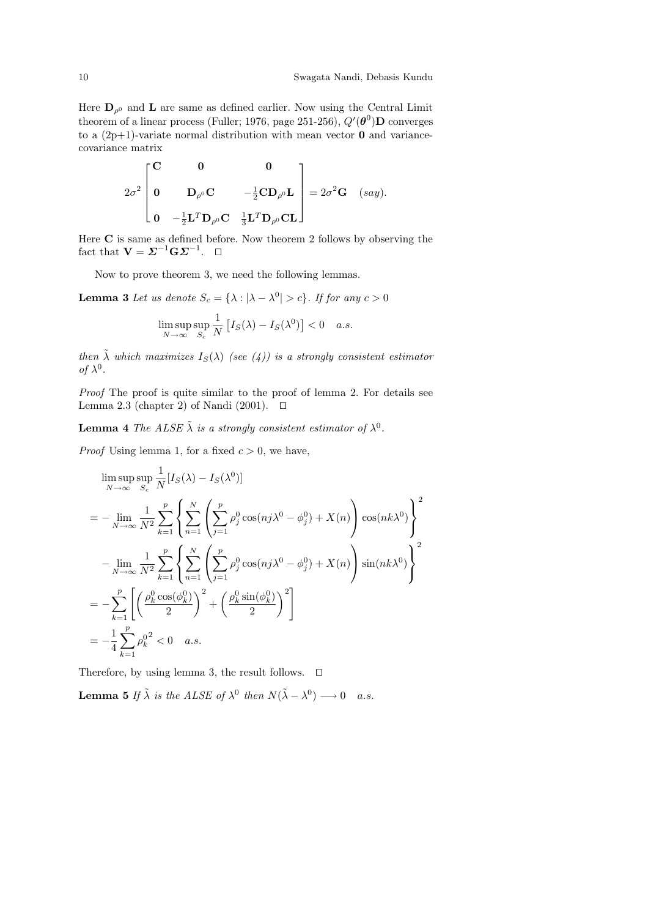Here  $\mathbf{D}_{\rho^0}$  and  $\mathbf{L}$  are same as defined earlier. Now using the Central Limit theorem of a linear process (Fuller; 1976, page 251-256),  $Q'(\boldsymbol{\theta}^0)$ D converges to a  $(2p+1)$ -variate normal distribution with mean vector **0** and variancecovariance matrix

$$
2\sigma^2 \begin{bmatrix} \mathbf{C} & \mathbf{0} & \mathbf{0} \\ \mathbf{0} & \mathbf{D}_{\rho^0} \mathbf{C} & -\frac{1}{2} \mathbf{C} \mathbf{D}_{\rho^0} \mathbf{L} \\ \mathbf{0} & -\frac{1}{2} \mathbf{L}^T \mathbf{D}_{\rho^0} \mathbf{C} & \frac{1}{3} \mathbf{L}^T \mathbf{D}_{\rho^0} \mathbf{C} \mathbf{L} \end{bmatrix} = 2\sigma^2 \mathbf{G} \quad (say).
$$

Here  $C$  is same as defined before. Now theorem 2 follows by observing the fact that  $\mathbf{V} = \mathbf{\Sigma}^{-1} \mathbf{G} \mathbf{\Sigma}^{-1}$ .  $\Box$ 

Now to prove theorem 3, we need the following lemmas.

**Lemma 3** Let us denote  $S_c = {\lambda : |\lambda - \lambda^0| > c}$ . If for any  $c > 0$ 

$$
\limsup_{N \to \infty} \sup_{S_c} \frac{1}{N} \left[ I_S(\lambda) - I_S(\lambda^0) \right] < 0 \quad a.s.
$$

then  $\tilde{\lambda}$  which maximizes  $I_S(\lambda)$  (see (4)) is a strongly consistent estimator of  $\lambda^0$ .

Proof The proof is quite similar to the proof of lemma 2. For details see Lemma 2.3 (chapter 2) of Nandi (2001).  $\Box$ 

**Lemma 4** The ALSE  $\tilde{\lambda}$  is a strongly consistent estimator of  $\lambda^0$ .

*Proof* Using lemma 1, for a fixed  $c > 0$ , we have,

$$
\limsup_{N \to \infty} \sup_{S_c} \frac{1}{N} [I_S(\lambda) - I_S(\lambda^0)]
$$
\n
$$
= -\lim_{N \to \infty} \frac{1}{N^2} \sum_{k=1}^p \left\{ \sum_{n=1}^N \left( \sum_{j=1}^p \rho_j^0 \cos(nj\lambda^0 - \phi_j^0) + X(n) \right) \cos(nk\lambda^0) \right\}^2
$$
\n
$$
- \lim_{N \to \infty} \frac{1}{N^2} \sum_{k=1}^p \left\{ \sum_{n=1}^N \left( \sum_{j=1}^p \rho_j^0 \cos(nj\lambda^0 - \phi_j^0) + X(n) \right) \sin(nk\lambda^0) \right\}^2
$$
\n
$$
= -\sum_{k=1}^p \left[ \left( \frac{\rho_k^0 \cos(\phi_k^0)}{2} \right)^2 + \left( \frac{\rho_k^0 \sin(\phi_k^0)}{2} \right)^2 \right]
$$
\n
$$
= -\frac{1}{4} \sum_{k=1}^p \rho_k^{0^2} < 0 \quad a.s.
$$

Therefore, by using lemma 3, the result follows.  $\Box$ 

**Lemma 5** If  $\tilde{\lambda}$  is the ALSE of  $\lambda^0$  then  $N(\tilde{\lambda} - \lambda^0) \longrightarrow 0$  a.s.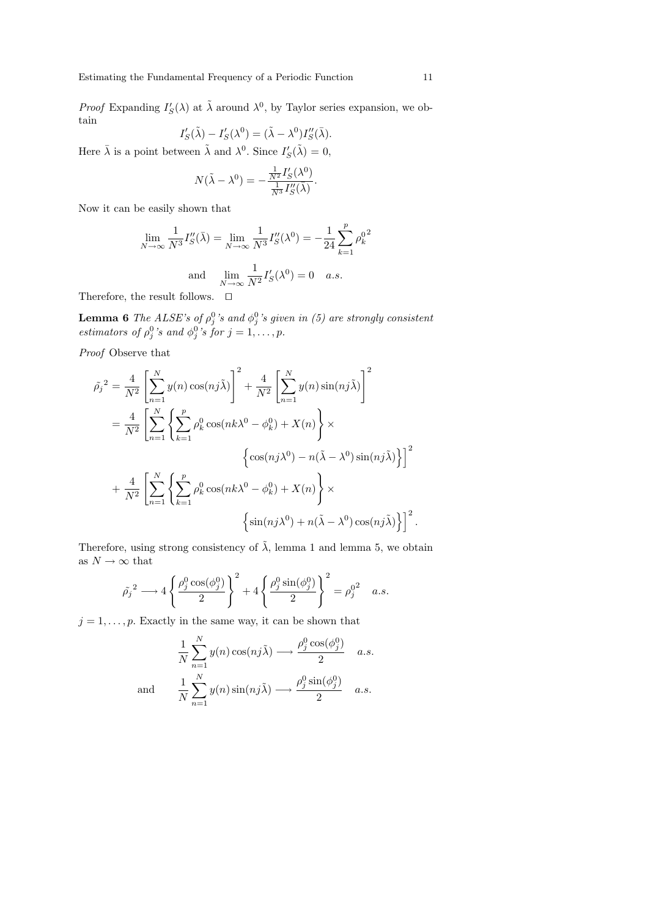*Proof* Expanding  $I'_{S}(\lambda)$  at  $\tilde{\lambda}$  around  $\lambda^{0}$ , by Taylor series expansion, we obtain

$$
I'_{S}(\tilde{\lambda}) - I'_{S}(\lambda^{0}) = (\tilde{\lambda} - \lambda^{0})I''_{S}(\bar{\lambda}).
$$

Here  $\bar{\lambda}$  is a point between  $\tilde{\lambda}$  and  $\lambda^0$ . Since  $I'_{S}(\tilde{\lambda}) = 0$ ,

$$
N(\tilde{\lambda} - \lambda^0) = -\frac{\frac{1}{N^2} I'_S(\lambda^0)}{\frac{1}{N^3} I''_S(\bar{\lambda})}.
$$

Now it can be easily shown that

$$
\lim_{N \to \infty} \frac{1}{N^3} I_S''(\bar{\lambda}) = \lim_{N \to \infty} \frac{1}{N^3} I_S''(\lambda^0) = -\frac{1}{24} \sum_{k=1}^p \rho_k^{0^2}
$$
  
and 
$$
\lim_{N \to \infty} \frac{1}{N^2} I_S'(\lambda^0) = 0 \quad a.s.
$$

Therefore, the result follows.  $\quad \Box$ 

**Lemma 6** The ALSE's of  $\rho_j^0$ 's and  $\phi_j^0$ 's given in (5) are strongly consistent estimators of  $\rho_j^0$ 's and  $\phi_j^0$ 's for  $j = 1, \ldots, p$ .

Proof Observe that

$$
\tilde{\rho_j}^2 = \frac{4}{N^2} \left[ \sum_{n=1}^N y(n) \cos(nj\tilde{\lambda}) \right]^2 + \frac{4}{N^2} \left[ \sum_{n=1}^N y(n) \sin(nj\tilde{\lambda}) \right]^2
$$
  
\n
$$
= \frac{4}{N^2} \left[ \sum_{n=1}^N \left\{ \sum_{k=1}^p \rho_k^0 \cos(nk\lambda^0 - \phi_k^0) + X(n) \right\} \times \left\{ \cos(nj\lambda^0) - n(\tilde{\lambda} - \lambda^0) \sin(nj\tilde{\lambda}) \right\} \right]^2
$$
  
\n
$$
+ \frac{4}{N^2} \left[ \sum_{n=1}^N \left\{ \sum_{k=1}^p \rho_k^0 \cos(nk\lambda^0 - \phi_k^0) + X(n) \right\} \times \left\{ \sin(nj\lambda^0) + n(\tilde{\lambda} - \lambda^0) \cos(nj\tilde{\lambda}) \right\} \right]^2.
$$

Therefore, using strong consistency of  $\tilde{\lambda}$ , lemma 1 and lemma 5, we obtain as  $N\to\infty$  that

$$
\tilde{\rho_j}^2 \longrightarrow 4 \left\{ \frac{\rho_j^0 \cos(\phi_j^0)}{2} \right\}^2 + 4 \left\{ \frac{\rho_j^0 \sin(\phi_j^0)}{2} \right\}^2 = \rho_j^{02} \quad a.s.
$$

 $j = 1, \ldots, p$ . Exactly in the same way, it can be shown that

$$
\frac{1}{N} \sum_{n=1}^{N} y(n) \cos(nj\tilde{\lambda}) \longrightarrow \frac{\rho_j^0 \cos(\phi_j^0)}{2} \quad a.s.
$$
  
and 
$$
\frac{1}{N} \sum_{n=1}^{N} y(n) \sin(nj\tilde{\lambda}) \longrightarrow \frac{\rho_j^0 \sin(\phi_j^0)}{2} \quad a.s.
$$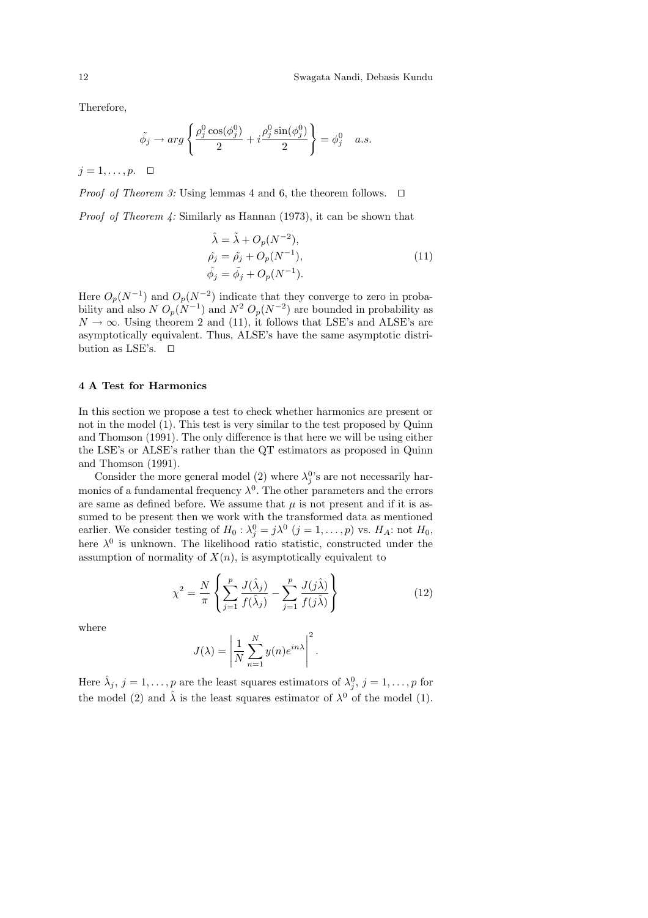Therefore,

$$
\tilde{\phi}_j \to \arg \left\{ \frac{\rho_j^0 \cos(\phi_j^0)}{2} + i \frac{\rho_j^0 \sin(\phi_j^0)}{2} \right\} = \phi_j^0 \quad a.s.
$$

 $j = 1, \ldots, p. \square$ 

*Proof of Theorem 3:* Using lemmas 4 and 6, the theorem follows.  $\Box$ 

*Proof of Theorem 4:* Similarly as Hannan (1973), it can be shown that

$$
\hat{\lambda} = \tilde{\lambda} + O_p(N^{-2}),
$$
  
\n
$$
\hat{\rho}_j = \tilde{\rho}_j + O_p(N^{-1}),
$$
  
\n
$$
\hat{\phi}_j = \tilde{\phi}_j + O_p(N^{-1}).
$$
\n(11)

Here  $O_p(N^{-1})$  and  $O_p(N^{-2})$  indicate that they converge to zero in probability and also  $N O_p(N^{-1})$  and  $N^2 O_p(N^{-2})$  are bounded in probability as  $N \to \infty$ . Using theorem 2 and (11), it follows that LSE's and ALSE's are asymptotically equivalent. Thus, ALSE's have the same asymptotic distribution as LSE's.  $\Box$ 

# 4 A Test for Harmonics

In this section we propose a test to check whether harmonics are present or not in the model (1). This test is very similar to the test proposed by Quinn and Thomson (1991). The only difference is that here we will be using either the LSE's or ALSE's rather than the QT estimators as proposed in Quinn and Thomson (1991).

Consider the more general model (2) where  $\lambda_j^0$ 's are not necessarily harmonics of a fundamental frequency  $\lambda^0$ . The other parameters and the errors are same as defined before. We assume that  $\mu$  is not present and if it is assumed to be present then we work with the transformed data as mentioned earlier. We consider testing of  $H_0: \lambda_j^0 = j\lambda^0$   $(j = 1, ..., p)$  vs.  $H_A$ : not  $H_0$ , here  $\lambda^0$  is unknown. The likelihood ratio statistic, constructed under the assumption of normality of  $X(n)$ , is asymptotically equivalent to

$$
\chi^2 = \frac{N}{\pi} \left\{ \sum_{j=1}^p \frac{J(\hat{\lambda}_j)}{f(\hat{\lambda}_j)} - \sum_{j=1}^p \frac{J(j\hat{\lambda})}{f(j\hat{\lambda})} \right\}
$$
(12)

where

$$
J(\lambda) = \left| \frac{1}{N} \sum_{n=1}^{N} y(n) e^{in\lambda} \right|^2.
$$

Here  $\hat{\lambda}_j$ ,  $j = 1, \ldots, p$  are the least squares estimators of  $\lambda_j^0$ ,  $j = 1, \ldots, p$  for the model (2) and  $\hat{\lambda}$  is the least squares estimator of  $\lambda^0$  of the model (1).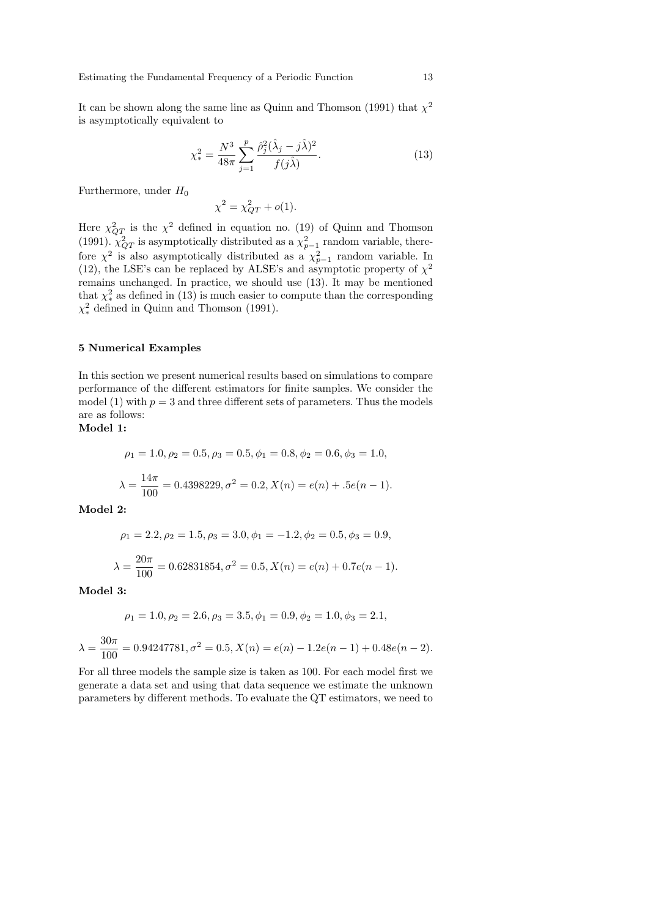It can be shown along the same line as Quinn and Thomson (1991) that  $\chi^2$ is asymptotically equivalent to

$$
\chi_{*}^{2} = \frac{N^{3}}{48\pi} \sum_{j=1}^{p} \frac{\hat{\rho}_{j}^{2} (\hat{\lambda}_{j} - j\hat{\lambda})^{2}}{f(j\hat{\lambda})}.
$$
 (13)

Furthermore, under  $H_0$ 

$$
\chi^2 = \chi_{QT}^2 + o(1).
$$

Here  $\chi^2_{QT}$  is the  $\chi^2$  defined in equation no. (19) of Quinn and Thomson (1991).  $\chi^2_{QT}$  is asymptotically distributed as a  $\chi^2_{p-1}$  random variable, therefore  $\chi^2$  is also asymptotically distributed as a  $\chi^2_{p-1}$  random variable. In (12), the LSE's can be replaced by ALSE's and asymptotic property of  $\chi^2$ remains unchanged. In practice, we should use (13). It may be mentioned that  $\chi^2_*$  as defined in (13) is much easier to compute than the corresponding  $\chi^2_*$  defined in Quinn and Thomson (1991).

### 5 Numerical Examples

In this section we present numerical results based on simulations to compare performance of the different estimators for finite samples. We consider the model (1) with  $p = 3$  and three different sets of parameters. Thus the models are as follows:

## Model 1:

$$
\rho_1 = 1.0, \rho_2 = 0.5, \rho_3 = 0.5, \phi_1 = 0.8, \phi_2 = 0.6, \phi_3 = 1.0,
$$
  

$$
\lambda = \frac{14\pi}{100} = 0.4398229, \sigma^2 = 0.2, X(n) = e(n) + .5e(n - 1).
$$

Model 2:

$$
\rho_1 = 2.2, \rho_2 = 1.5, \rho_3 = 3.0, \phi_1 = -1.2, \phi_2 = 0.5, \phi_3 = 0.9,
$$
  

$$
\lambda = \frac{20\pi}{100} = 0.62831854, \sigma^2 = 0.5, X(n) = e(n) + 0.7e(n - 1).
$$

Model 3:

 $\lambda$ 

$$
\rho_1 = 1.0, \rho_2 = 2.6, \rho_3 = 3.5, \phi_1 = 0.9, \phi_2 = 1.0, \phi_3 = 2.1,
$$
  
= 
$$
\frac{30\pi}{100} = 0.94247781, \sigma^2 = 0.5, X(n) = e(n) - 1.2e(n-1) + 0.48e(n-2).
$$

For all three models the sample size is taken as 100. For each model first we generate a data set and using that data sequence we estimate the unknown parameters by different methods. To evaluate the QT estimators, we need to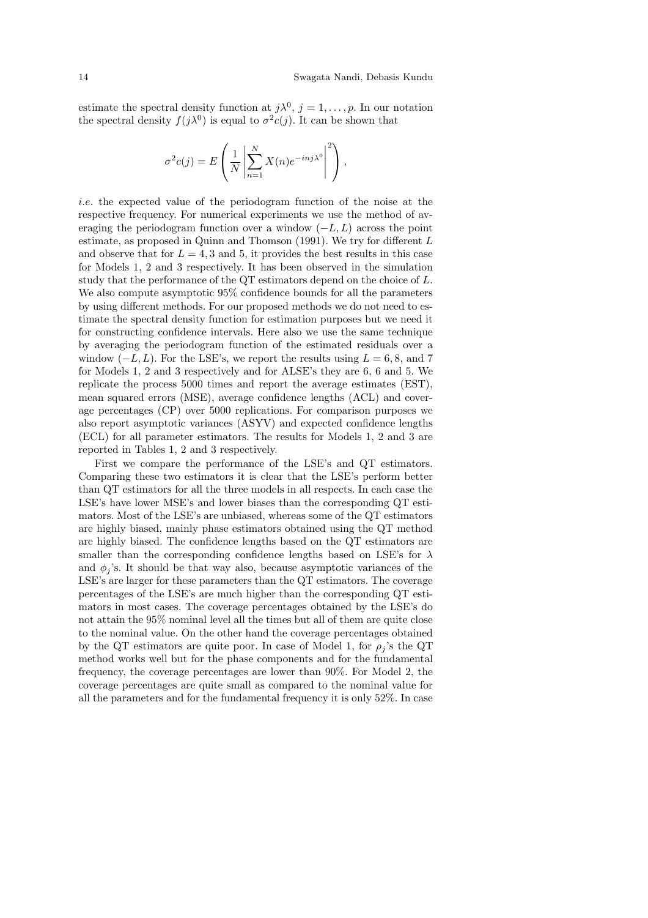estimate the spectral density function at  $j\lambda^0$ ,  $j=1,\ldots,p$ . In our notation the spectral density  $f(j\lambda^0)$  is equal to  $\sigma^2 c(j)$ . It can be shown that

$$
\sigma^{2}c(j) = E\left(\frac{1}{N}\left|\sum_{n=1}^{N} X(n)e^{-inj\lambda^{0}}\right|^{2}\right),\,
$$

i.e. the expected value of the periodogram function of the noise at the respective frequency. For numerical experiments we use the method of averaging the periodogram function over a window  $(-L,L)$  across the point estimate, as proposed in Quinn and Thomson (1991). We try for different L and observe that for  $L = 4, 3$  and 5, it provides the best results in this case for Models 1, 2 and 3 respectively. It has been observed in the simulation study that the performance of the QT estimators depend on the choice of L. We also compute asymptotic 95% confidence bounds for all the parameters by using different methods. For our proposed methods we do not need to estimate the spectral density function for estimation purposes but we need it for constructing confidence intervals. Here also we use the same technique by averaging the periodogram function of the estimated residuals over a window  $(-L, L)$ . For the LSE's, we report the results using  $L = 6, 8$ , and 7 for Models 1, 2 and 3 respectively and for ALSE's they are 6, 6 and 5. We replicate the process 5000 times and report the average estimates (EST), mean squared errors (MSE), average confidence lengths (ACL) and coverage percentages (CP) over 5000 replications. For comparison purposes we also report asymptotic variances (ASYV) and expected confidence lengths (ECL) for all parameter estimators. The results for Models 1, 2 and 3 are reported in Tables 1, 2 and 3 respectively.

First we compare the performance of the LSE's and QT estimators. Comparing these two estimators it is clear that the LSE's perform better than QT estimators for all the three models in all respects. In each case the LSE's have lower MSE's and lower biases than the corresponding QT estimators. Most of the LSE's are unbiased, whereas some of the QT estimators are highly biased, mainly phase estimators obtained using the QT method are highly biased. The confidence lengths based on the QT estimators are smaller than the corresponding confidence lengths based on LSE's for  $\lambda$ and  $\phi_i$ 's. It should be that way also, because asymptotic variances of the LSE's are larger for these parameters than the QT estimators. The coverage percentages of the LSE's are much higher than the corresponding QT estimators in most cases. The coverage percentages obtained by the LSE's do not attain the 95% nominal level all the times but all of them are quite close to the nominal value. On the other hand the coverage percentages obtained by the QT estimators are quite poor. In case of Model 1, for  $\rho_j$ 's the QT method works well but for the phase components and for the fundamental frequency, the coverage percentages are lower than 90%. For Model 2, the coverage percentages are quite small as compared to the nominal value for all the parameters and for the fundamental frequency it is only 52%. In case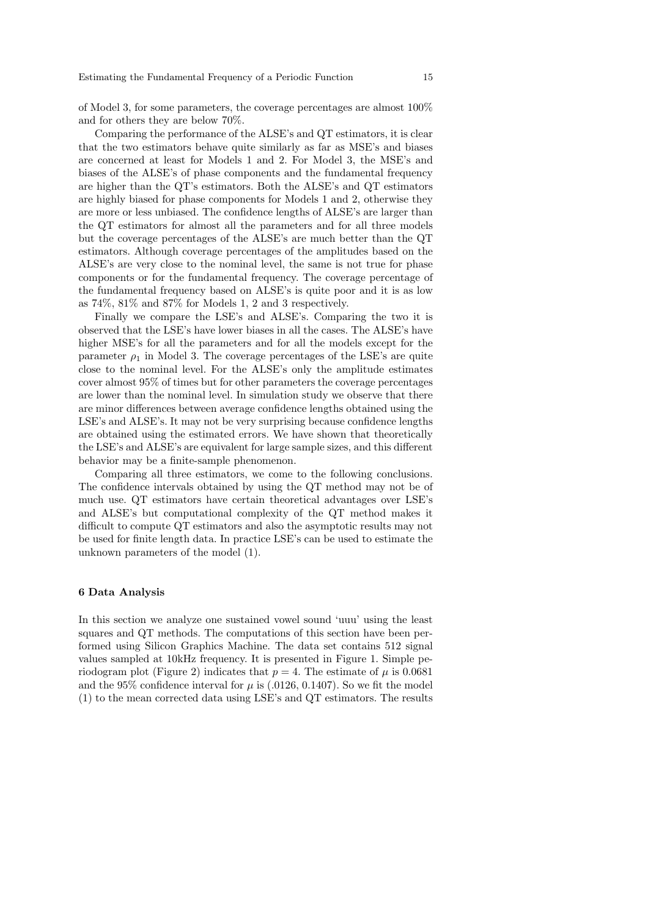of Model 3, for some parameters, the coverage percentages are almost 100% and for others they are below 70%.

Comparing the performance of the ALSE's and QT estimators, it is clear that the two estimators behave quite similarly as far as MSE's and biases are concerned at least for Models 1 and 2. For Model 3, the MSE's and biases of the ALSE's of phase components and the fundamental frequency are higher than the QT's estimators. Both the ALSE's and QT estimators are highly biased for phase components for Models 1 and 2, otherwise they are more or less unbiased. The confidence lengths of ALSE's are larger than the QT estimators for almost all the parameters and for all three models but the coverage percentages of the ALSE's are much better than the QT estimators. Although coverage percentages of the amplitudes based on the ALSE's are very close to the nominal level, the same is not true for phase components or for the fundamental frequency. The coverage percentage of the fundamental frequency based on ALSE's is quite poor and it is as low as 74%, 81% and 87% for Models 1, 2 and 3 respectively.

Finally we compare the LSE's and ALSE's. Comparing the two it is observed that the LSE's have lower biases in all the cases. The ALSE's have higher MSE's for all the parameters and for all the models except for the parameter  $\rho_1$  in Model 3. The coverage percentages of the LSE's are quite close to the nominal level. For the ALSE's only the amplitude estimates cover almost 95% of times but for other parameters the coverage percentages are lower than the nominal level. In simulation study we observe that there are minor differences between average confidence lengths obtained using the LSE's and ALSE's. It may not be very surprising because confidence lengths are obtained using the estimated errors. We have shown that theoretically the LSE's and ALSE's are equivalent for large sample sizes, and this different behavior may be a finite-sample phenomenon.

Comparing all three estimators, we come to the following conclusions. The confidence intervals obtained by using the QT method may not be of much use. QT estimators have certain theoretical advantages over LSE's and ALSE's but computational complexity of the QT method makes it difficult to compute QT estimators and also the asymptotic results may not be used for finite length data. In practice LSE's can be used to estimate the unknown parameters of the model (1).

#### 6 Data Analysis

In this section we analyze one sustained vowel sound 'uuu' using the least squares and QT methods. The computations of this section have been performed using Silicon Graphics Machine. The data set contains 512 signal values sampled at 10kHz frequency. It is presented in Figure 1. Simple periodogram plot (Figure 2) indicates that  $p = 4$ . The estimate of  $\mu$  is 0.0681 and the 95% confidence interval for  $\mu$  is (.0126, 0.1407). So we fit the model (1) to the mean corrected data using LSE's and QT estimators. The results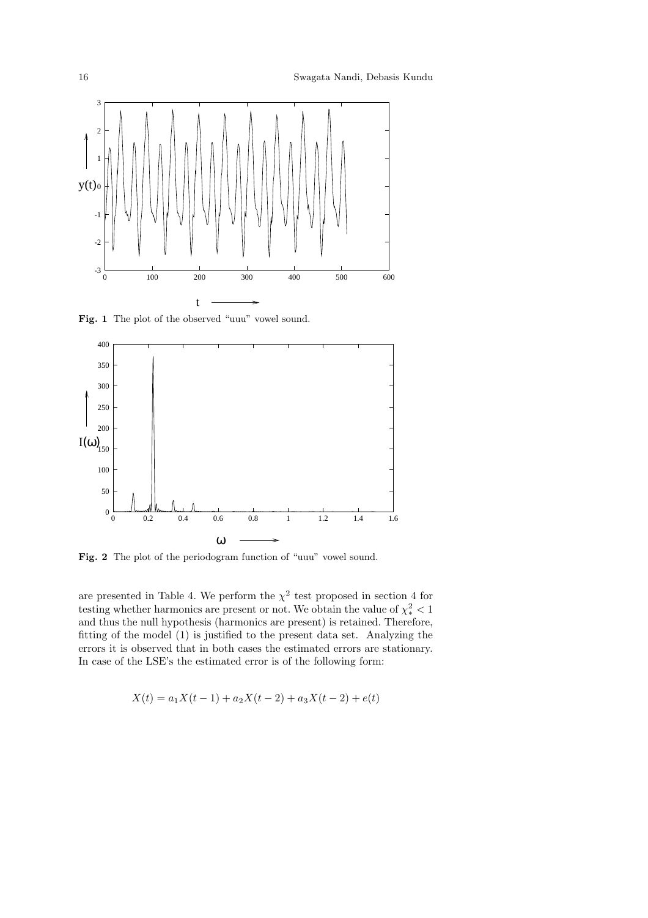

Fig. 1 The plot of the observed "uuu" vowel sound.



Fig. 2 The plot of the periodogram function of "uuu" vowel sound.

are presented in Table 4. We perform the  $\chi^2$  test proposed in section 4 for testing whether harmonics are present or not. We obtain the value of  $\chi^2_* < 1$ and thus the null hypothesis (harmonics are present) is retained. Therefore, fitting of the model (1) is justified to the present data set. Analyzing the errors it is observed that in both cases the estimated errors are stationary. In case of the LSE's the estimated error is of the following form:

$$
X(t) = a_1 X(t-1) + a_2 X(t-2) + a_3 X(t-2) + e(t)
$$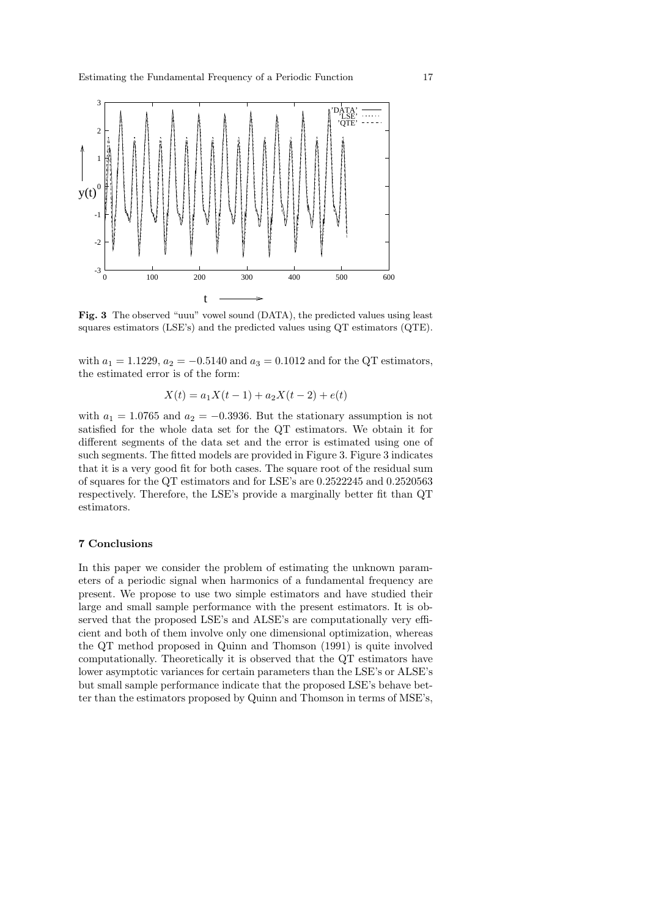

Fig. 3 The observed "uuu" vowel sound (DATA), the predicted values using least squares estimators (LSE's) and the predicted values using QT estimators (QTE).

with  $a_1 = 1.1229$ ,  $a_2 = -0.5140$  and  $a_3 = 0.1012$  and for the QT estimators, the estimated error is of the form:

$$
X(t) = a_1 X(t-1) + a_2 X(t-2) + e(t)
$$

with  $a_1 = 1.0765$  and  $a_2 = -0.3936$ . But the stationary assumption is not satisfied for the whole data set for the QT estimators. We obtain it for different segments of the data set and the error is estimated using one of such segments. The fitted models are provided in Figure 3. Figure 3 indicates that it is a very good fit for both cases. The square root of the residual sum of squares for the QT estimators and for LSE's are 0.2522245 and 0.2520563 respectively. Therefore, the LSE's provide a marginally better fit than QT estimators.

### 7 Conclusions

In this paper we consider the problem of estimating the unknown parameters of a periodic signal when harmonics of a fundamental frequency are present. We propose to use two simple estimators and have studied their large and small sample performance with the present estimators. It is observed that the proposed LSE's and ALSE's are computationally very efficient and both of them involve only one dimensional optimization, whereas the QT method proposed in Quinn and Thomson (1991) is quite involved computationally. Theoretically it is observed that the QT estimators have lower asymptotic variances for certain parameters than the LSE's or ALSE's but small sample performance indicate that the proposed LSE's behave better than the estimators proposed by Quinn and Thomson in terms of MSE's,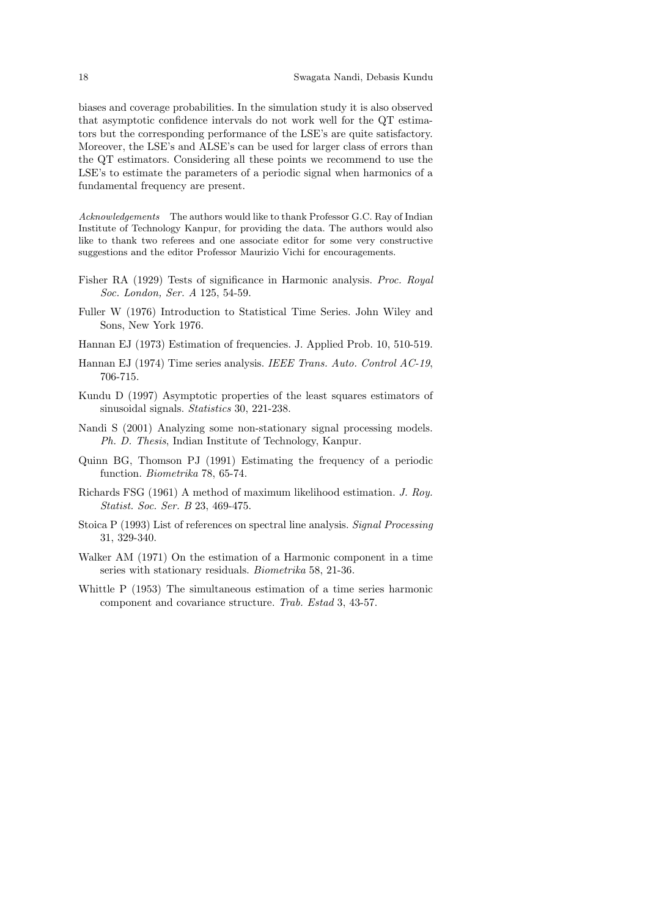biases and coverage probabilities. In the simulation study it is also observed that asymptotic confidence intervals do not work well for the QT estimators but the corresponding performance of the LSE's are quite satisfactory. Moreover, the LSE's and ALSE's can be used for larger class of errors than the QT estimators. Considering all these points we recommend to use the LSE's to estimate the parameters of a periodic signal when harmonics of a fundamental frequency are present.

Acknowledgements The authors would like to thank Professor G.C. Ray of Indian Institute of Technology Kanpur, for providing the data. The authors would also like to thank two referees and one associate editor for some very constructive suggestions and the editor Professor Maurizio Vichi for encouragements.

- Fisher RA (1929) Tests of significance in Harmonic analysis. Proc. Royal Soc. London, Ser. A 125, 54-59.
- Fuller W (1976) Introduction to Statistical Time Series. John Wiley and Sons, New York 1976.
- Hannan EJ (1973) Estimation of frequencies. J. Applied Prob. 10, 510-519.
- Hannan EJ (1974) Time series analysis. IEEE Trans. Auto. Control AC-19, 706-715.
- Kundu D (1997) Asymptotic properties of the least squares estimators of sinusoidal signals. Statistics 30, 221-238.
- Nandi S (2001) Analyzing some non-stationary signal processing models. Ph. D. Thesis, Indian Institute of Technology, Kanpur.
- Quinn BG, Thomson PJ (1991) Estimating the frequency of a periodic function. Biometrika 78, 65-74.
- Richards FSG (1961) A method of maximum likelihood estimation. J. Roy. Statist. Soc. Ser. B 23, 469-475.
- Stoica P (1993) List of references on spectral line analysis. Signal Processing 31, 329-340.
- Walker AM (1971) On the estimation of a Harmonic component in a time series with stationary residuals. Biometrika 58, 21-36.
- Whittle P (1953) The simultaneous estimation of a time series harmonic component and covariance structure. Trab. Estad 3, 43-57.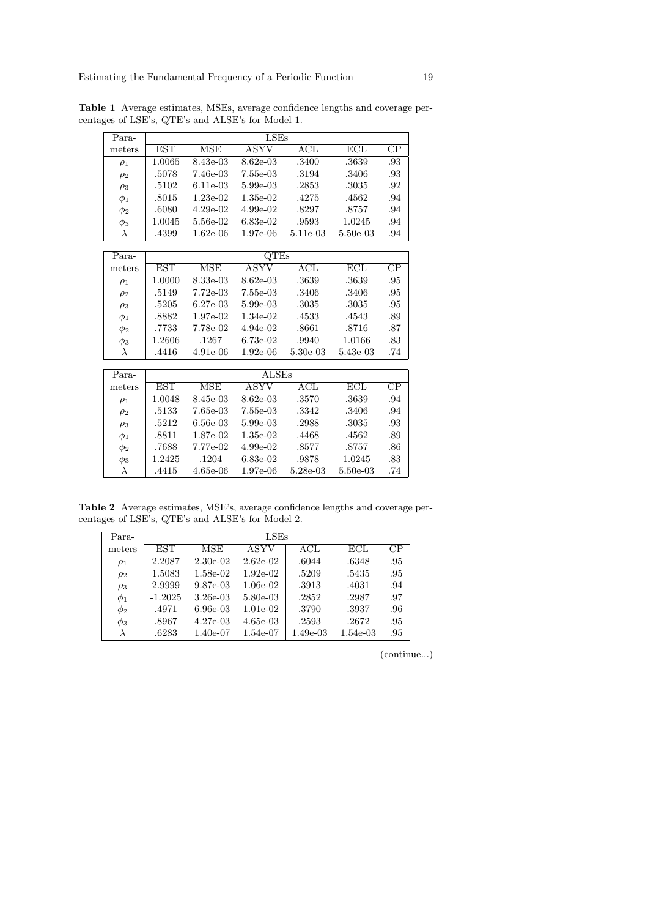| Para-     | $_{\rm LSEs}$ |            |              |            |            |                 |  |
|-----------|---------------|------------|--------------|------------|------------|-----------------|--|
| meters    | <b>EST</b>    | <b>MSE</b> | ASYV         | $\rm{ACL}$ | ECL        | CP              |  |
| $\rho_1$  | 1.0065        | 8.43e-03   | 8.62e-03     | .3400      | .3639      | .93             |  |
| $\rho_2$  | .5078         | 7.46e-03   | 7.55e-03     | .3194      | .3406      | .93             |  |
| $\rho_3$  | .5102         | 6.11e-03   | 5.99e-03     | .2853      | .3035      | .92             |  |
| $\phi_1$  | .8015         | $1.23e-02$ | $1.35e-02$   | .4275      | .4562      | .94             |  |
| $\phi_2$  | .6080         | $4.29e-02$ | $4.99e-02$   | .8297      | .8757      | .94             |  |
| $\phi_3$  | 1.0045        | 5.56e-02   | $6.83e-02$   | .9593      | 1.0245     | .94             |  |
| $\lambda$ | .4399         | $1.62e-06$ | 1.97e-06     | 5.11e-03   | $5.50e-03$ | .94             |  |
|           |               |            |              |            |            |                 |  |
| Para-     |               |            | <b>QTEs</b>  |            |            |                 |  |
| meters    | <b>EST</b>    | MSE        | ASYV         | $\rm{ACL}$ | ECL        | $\overline{CP}$ |  |
| $\rho_1$  | 1.0000        | 8.33e-03   | $8.62e-03$   | .3639      | .3639      | .95             |  |
| $\rho_2$  | .5149         | $7.72e-03$ | 7.55e-03     | .3406      | .3406      | .95             |  |
| $\rho_3$  | .5205         | $6.27e-03$ | 5.99e-03     | .3035      | .3035      | .95             |  |
| $\phi_1$  | .8882         | 1.97e-02   | 1.34e-02     | .4533      | .4543      | .89             |  |
| $\phi_2$  | .7733         | 7.78e-02   | $4.94e-02$   | .8661      | .8716      | .87             |  |
| $\phi_3$  | 1.2606        | .1267      | $6.73e-02$   | .9940      | 1.0166     | .83             |  |
| λ         | .4416         | $4.91e-06$ | $1.92e-06$   | $5.30e-03$ | 5.43e-03   | .74             |  |
|           |               |            |              |            |            |                 |  |
| Para-     |               |            | <b>ALSEs</b> |            |            |                 |  |
| meters    | EST           | <b>MSE</b> | ASYV         | $\rm{ACL}$ | ECL        | $\rm CP$        |  |
|           |               |            |              |            |            |                 |  |

Table 1 Average estimates, MSEs, average confidence lengths and coverage percentages of LSE's, QTE's and ALSE's for Model 1.

| Para-     |            | ALSEs      |            |            |          |     |  |  |  |
|-----------|------------|------------|------------|------------|----------|-----|--|--|--|
| meters    | <b>EST</b> | MSE        | ASYV       | $\rm{ACL}$ | ECL      | CР  |  |  |  |
| $\rho_1$  | 1.0048     | 8.45e-03   | 8.62e-03   | .3570      | .3639    | .94 |  |  |  |
| $\rho_2$  | .5133      | 7.65e-03   | 7.55e-03   | .3342      | .3406    | .94 |  |  |  |
| $\rho_3$  | .5212      | $6.56e-03$ | $5.99e-03$ | .2988      | .3035    | .93 |  |  |  |
| $\phi_1$  | .8811      | 1.87e-02   | $1.35e-02$ | .4468      | .4562    | .89 |  |  |  |
| $\phi_2$  | .7688      | 7.77e-02   | $4.99e-02$ | .8577      | .8757    | .86 |  |  |  |
| $\phi_3$  | 1.2425     | .1204      | $6.83e-02$ | .9878      | 1.0245   | .83 |  |  |  |
| $\lambda$ | .4415      | $4.65e-06$ | $1.97e-06$ | 5.28e-03   | 5.50e-03 | .74 |  |  |  |

Table 2 Average estimates, MSE's, average confidence lengths and coverage percentages of LSE's, QTE's and ALSE's for Model 2.

| Para-    | LSEs      |                      |             |            |          |     |  |  |
|----------|-----------|----------------------|-------------|------------|----------|-----|--|--|
| meters   | EST       | $\overline{\rm MSE}$ | <b>ASYV</b> | ACL        | ECL      | CP  |  |  |
| $\rho_1$ | 2.2087    | $2.30e-02$           | $2.62e-02$  | .6044      | .6348    | .95 |  |  |
| $\rho_2$ | 1.5083    | 1.58e-02             | $1.92e-02$  | .5209      | .5435    | .95 |  |  |
| $\rho_3$ | 2.9999    | 9.87e-03             | $1.06e-02$  | .3913      | .4031    | .94 |  |  |
| $\phi_1$ | $-1.2025$ | $3.26e-03$           | 5.80e-03    | .2852      | .2987    | .97 |  |  |
| $\phi_2$ | .4971     | $6.96e-03$           | $1.01e-02$  | .3790      | .3937    | .96 |  |  |
| $\phi_3$ | .8967     | $4.27e-0.3$          | $4.65e-03$  | .2593      | .2672    | .95 |  |  |
| λ        | .6283     | 1.40e-07             | 1.54e-07    | $1.49e-03$ | 1.54e-03 | .95 |  |  |

(continue...)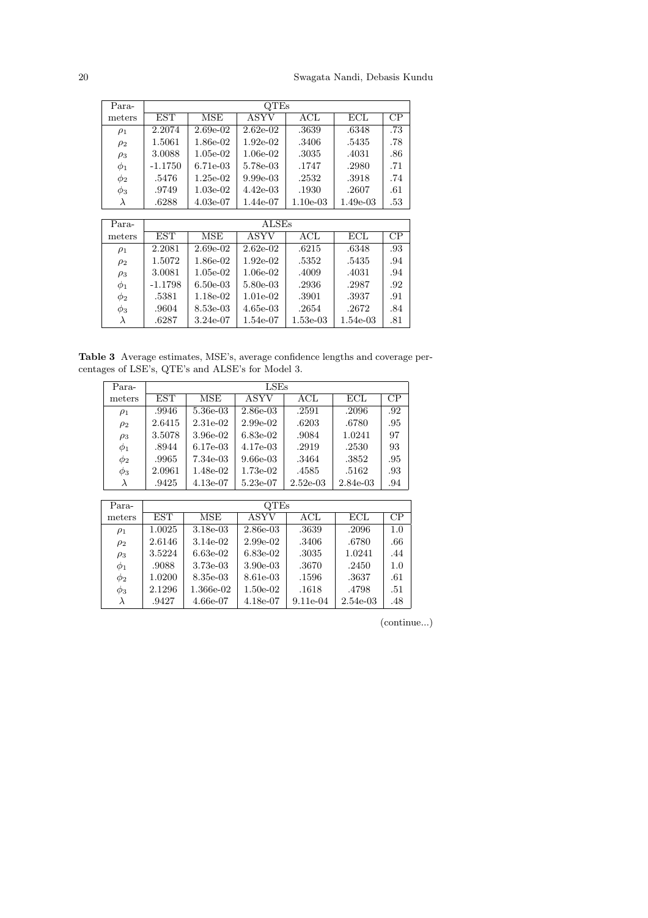| Para-    |           | QTEs        |             |            |            |     |  |  |
|----------|-----------|-------------|-------------|------------|------------|-----|--|--|
| meters   | EST       | MSE         | ASYV        | $\rm{ACL}$ | ECL        | CР  |  |  |
| $\rho_1$ | 2.2074    | $2.69e-02$  | $2.62e-02$  | .3639      | .6348      | .73 |  |  |
| $\rho_2$ | 1.5061    | 1.86e-02    | $1.92e-02$  | .3406      | .5435      | .78 |  |  |
| $\rho_3$ | 3.0088    | $1.05e-02$  | $1.06e-02$  | .3035      | .4031      | .86 |  |  |
| $\phi_1$ | $-1.1750$ | $6.71e-0.3$ | 5.78e-03    | .1747      | .2980      | .71 |  |  |
| $\phi_2$ | .5476     | $1.25e-02$  | $9.99e-03$  | .2532      | .3918      | .74 |  |  |
| $\phi_3$ | .9749     | $1.03e-02$  | $4.42e-0.3$ | .1930      | .2607      | .61 |  |  |
|          | .6288     | $4.03e-07$  | 1.44e-07    | $1.10e-03$ | $1.49e-03$ | .53 |  |  |

| Para-     |            | <b>ALSEs</b> |            |            |                      |     |  |  |  |
|-----------|------------|--------------|------------|------------|----------------------|-----|--|--|--|
| meters    | <b>EST</b> | <b>MSE</b>   | ASYV       | $\rm{ACL}$ | $\operatorname{ECL}$ | CР  |  |  |  |
| $\rho_1$  | 2.2081     | $2.69e-02$   | $2.62e-02$ | .6215      | .6348                | .93 |  |  |  |
| $\rho_2$  | 1.5072     | 1.86e-02     | $1.92e-02$ | .5352      | .5435                | .94 |  |  |  |
| $\rho_3$  | 3.0081     | $1.05e-02$   | $1.06e-02$ | .4009      | .4031                | .94 |  |  |  |
| $\phi_1$  | $-1.1798$  | $6.50e-03$   | 5.80e-03   | .2936      | .2987                | .92 |  |  |  |
| $\phi_2$  | .5381      | 1.18e-02     | $1.01e-02$ | .3901      | .3937                | .91 |  |  |  |
| $\phi_3$  | .9604      | 8.53e-03     | $4.65e-03$ | .2654      | .2672                | .84 |  |  |  |
| $\lambda$ | .6287      | $3.24e-07$   | 1.54e-07   | $1.53e-03$ | 1.54e-03             | .81 |  |  |  |

Table 3 Average estimates, MSE's, average confidence lengths and coverage percentages of LSE's, QTE's and ALSE's for Model 3.

| Para-     | LSEs       |            |            |            |            |     |  |  |
|-----------|------------|------------|------------|------------|------------|-----|--|--|
| meters    | <b>EST</b> | <b>MSE</b> | ASYV       | $\rm{ACL}$ | ECL        | CР  |  |  |
| $\rho_1$  | .9946      | 5.36e-03   | $2.86e-03$ | .2591      | .2096      | .92 |  |  |
| $\rho_2$  | 2.6415     | 2.31e-02   | $2.99e-02$ | .6203      | .6780      | .95 |  |  |
| $\rho_3$  | 3.5078     | 3.96e-02   | 6.83e-02   | .9084      | 1.0241     | 97  |  |  |
| $\phi_1$  | .8944      | $6.17e-03$ | 4.17e-03   | .2919      | .2530      | 93  |  |  |
| $\phi_2$  | .9965      | 7.34e-03   | $9.66e-03$ | .3464      | .3852      | .95 |  |  |
| $\phi_3$  | 2.0961     | 1.48e-02   | $1.73e-02$ | .4585      | .5162      | .93 |  |  |
| $\lambda$ | .9425      | $4.13e-07$ | 5.23e-07   | $2.52e-03$ | $2.84e-03$ | .94 |  |  |

| Para-    | OTEs       |            |            |            |            |     |  |  |
|----------|------------|------------|------------|------------|------------|-----|--|--|
| meters   | <b>EST</b> | MSE        | ASYV       | $\rm{ACL}$ | ECL        | CP  |  |  |
| $\rho_1$ | 1.0025     | $3.18e-03$ | 2.86e-03   | .3639      | .2096      | 1.0 |  |  |
| $\rho_2$ | 2.6146     | 3.14e-02   | 2.99e-02   | .3406      | .6780      | .66 |  |  |
| $\rho_3$ | 3.5224     | $6.63e-02$ | 6.83e-02   | .3035      | 1.0241     | .44 |  |  |
| $\phi_1$ | .9088      | 3.73e-03   | 3.90e-03   | .3670      | .2450      | 1.0 |  |  |
| $\phi_2$ | 1.0200     | 8.35e-03   | 8.61e-03   | .1596      | .3637      | .61 |  |  |
| $\phi_3$ | 2.1296     | 1.366e-02  | $1.50e-02$ | .1618      | .4798      | .51 |  |  |
|          | .9427      | 4.66e-07   | 4.18e-07   | $9.11e-04$ | $2.54e-03$ | .48 |  |  |

(continue...)